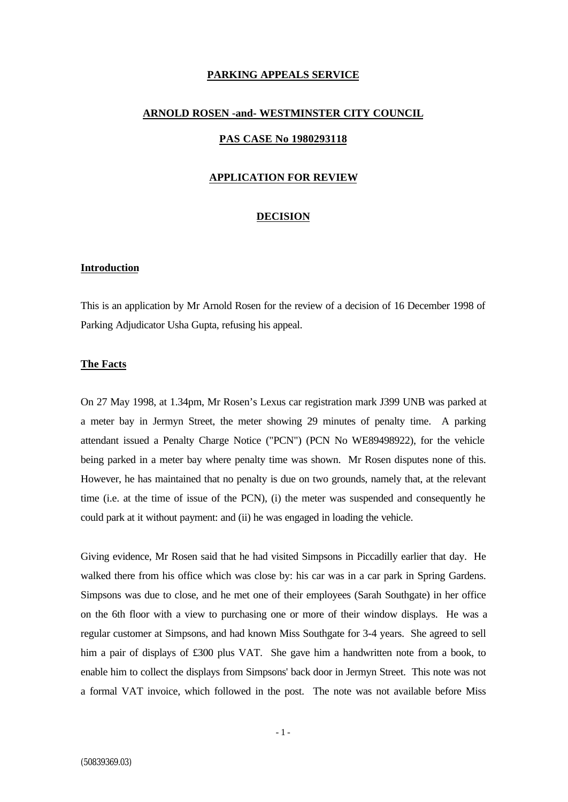# **PARKING APPEALS SERVICE**

#### **ARNOLD ROSEN -and- WESTMINSTER CITY COUNCIL**

# **PAS CASE No 1980293118**

### **APPLICATION FOR REVIEW**

### **DECISION**

# **Introduction**

This is an application by Mr Arnold Rosen for the review of a decision of 16 December 1998 of Parking Adjudicator Usha Gupta, refusing his appeal.

### **The Facts**

On 27 May 1998, at 1.34pm, Mr Rosen's Lexus car registration mark J399 UNB was parked at a meter bay in Jermyn Street, the meter showing 29 minutes of penalty time. A parking attendant issued a Penalty Charge Notice ("PCN") (PCN No WE89498922), for the vehicle being parked in a meter bay where penalty time was shown. Mr Rosen disputes none of this. However, he has maintained that no penalty is due on two grounds, namely that, at the relevant time (i.e. at the time of issue of the PCN), (i) the meter was suspended and consequently he could park at it without payment: and (ii) he was engaged in loading the vehicle.

Giving evidence, Mr Rosen said that he had visited Simpsons in Piccadilly earlier that day. He walked there from his office which was close by: his car was in a car park in Spring Gardens. Simpsons was due to close, and he met one of their employees (Sarah Southgate) in her office on the 6th floor with a view to purchasing one or more of their window displays. He was a regular customer at Simpsons, and had known Miss Southgate for 3-4 years. She agreed to sell him a pair of displays of £300 plus VAT. She gave him a handwritten note from a book, to enable him to collect the displays from Simpsons' back door in Jermyn Street. This note was not a formal VAT invoice, which followed in the post. The note was not available before Miss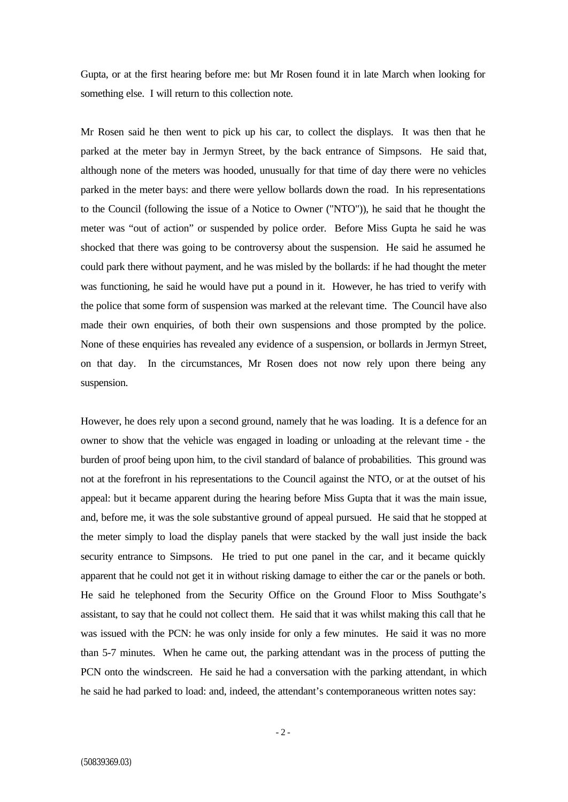Gupta, or at the first hearing before me: but Mr Rosen found it in late March when looking for something else. I will return to this collection note.

Mr Rosen said he then went to pick up his car, to collect the displays. It was then that he parked at the meter bay in Jermyn Street, by the back entrance of Simpsons. He said that, although none of the meters was hooded, unusually for that time of day there were no vehicles parked in the meter bays: and there were yellow bollards down the road. In his representations to the Council (following the issue of a Notice to Owner ("NTO")), he said that he thought the meter was "out of action" or suspended by police order. Before Miss Gupta he said he was shocked that there was going to be controversy about the suspension. He said he assumed he could park there without payment, and he was misled by the bollards: if he had thought the meter was functioning, he said he would have put a pound in it. However, he has tried to verify with the police that some form of suspension was marked at the relevant time. The Council have also made their own enquiries, of both their own suspensions and those prompted by the police. None of these enquiries has revealed any evidence of a suspension, or bollards in Jermyn Street, on that day. In the circumstances, Mr Rosen does not now rely upon there being any suspension.

However, he does rely upon a second ground, namely that he was loading. It is a defence for an owner to show that the vehicle was engaged in loading or unloading at the relevant time - the burden of proof being upon him, to the civil standard of balance of probabilities. This ground was not at the forefront in his representations to the Council against the NTO, or at the outset of his appeal: but it became apparent during the hearing before Miss Gupta that it was the main issue, and, before me, it was the sole substantive ground of appeal pursued. He said that he stopped at the meter simply to load the display panels that were stacked by the wall just inside the back security entrance to Simpsons. He tried to put one panel in the car, and it became quickly apparent that he could not get it in without risking damage to either the car or the panels or both. He said he telephoned from the Security Office on the Ground Floor to Miss Southgate's assistant, to say that he could not collect them. He said that it was whilst making this call that he was issued with the PCN: he was only inside for only a few minutes. He said it was no more than 5-7 minutes. When he came out, the parking attendant was in the process of putting the PCN onto the windscreen. He said he had a conversation with the parking attendant, in which he said he had parked to load: and, indeed, the attendant's contemporaneous written notes say: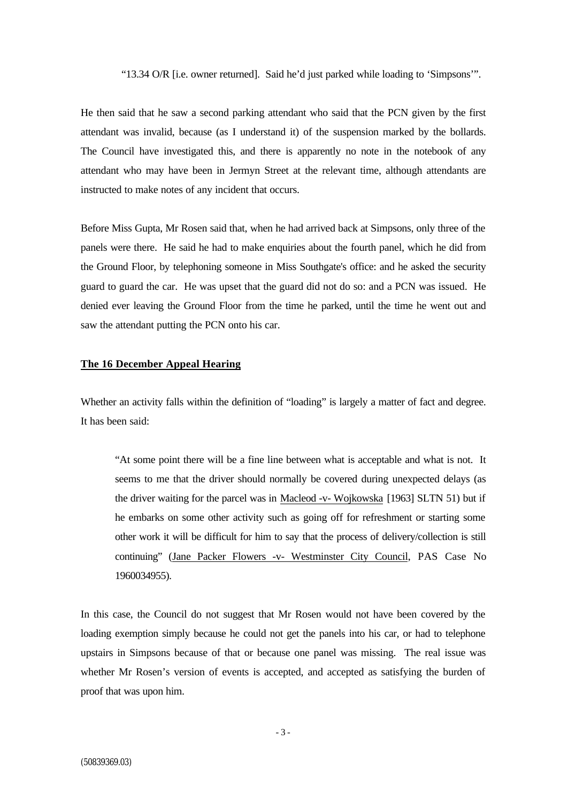"13.34 O/R [i.e. owner returned]. Said he'd just parked while loading to 'Simpsons'".

He then said that he saw a second parking attendant who said that the PCN given by the first attendant was invalid, because (as I understand it) of the suspension marked by the bollards. The Council have investigated this, and there is apparently no note in the notebook of any attendant who may have been in Jermyn Street at the relevant time, although attendants are instructed to make notes of any incident that occurs.

Before Miss Gupta, Mr Rosen said that, when he had arrived back at Simpsons, only three of the panels were there. He said he had to make enquiries about the fourth panel, which he did from the Ground Floor, by telephoning someone in Miss Southgate's office: and he asked the security guard to guard the car. He was upset that the guard did not do so: and a PCN was issued. He denied ever leaving the Ground Floor from the time he parked, until the time he went out and saw the attendant putting the PCN onto his car.

# **The 16 December Appeal Hearing**

Whether an activity falls within the definition of "loading" is largely a matter of fact and degree. It has been said:

"At some point there will be a fine line between what is acceptable and what is not. It seems to me that the driver should normally be covered during unexpected delays (as the driver waiting for the parcel was in Macleod -v- Wojkowska [1963] SLTN 51) but if he embarks on some other activity such as going off for refreshment or starting some other work it will be difficult for him to say that the process of delivery/collection is still continuing" (Jane Packer Flowers -v- Westminster City Council, PAS Case No 1960034955).

In this case, the Council do not suggest that Mr Rosen would not have been covered by the loading exemption simply because he could not get the panels into his car, or had to telephone upstairs in Simpsons because of that or because one panel was missing. The real issue was whether Mr Rosen's version of events is accepted, and accepted as satisfying the burden of proof that was upon him.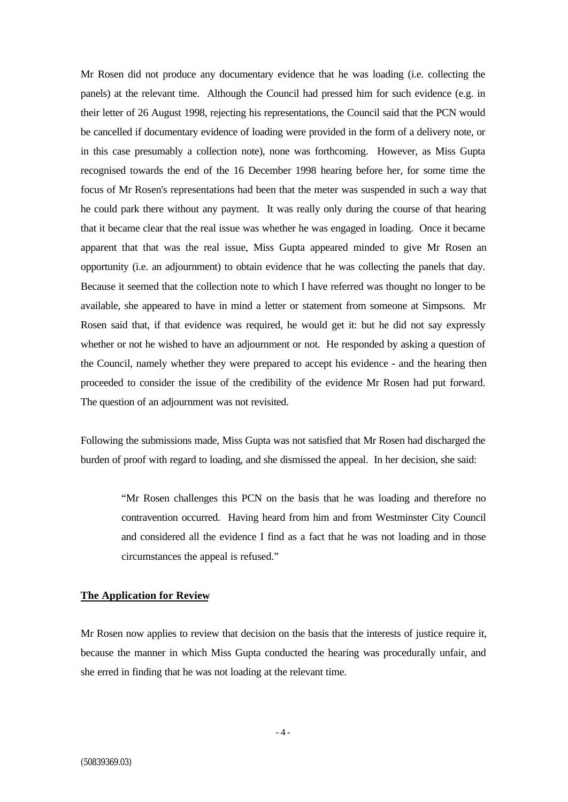Mr Rosen did not produce any documentary evidence that he was loading (i.e. collecting the panels) at the relevant time. Although the Council had pressed him for such evidence (e.g. in their letter of 26 August 1998, rejecting his representations, the Council said that the PCN would be cancelled if documentary evidence of loading were provided in the form of a delivery note, or in this case presumably a collection note), none was forthcoming. However, as Miss Gupta recognised towards the end of the 16 December 1998 hearing before her, for some time the focus of Mr Rosen's representations had been that the meter was suspended in such a way that he could park there without any payment. It was really only during the course of that hearing that it became clear that the real issue was whether he was engaged in loading. Once it became apparent that that was the real issue, Miss Gupta appeared minded to give Mr Rosen an opportunity (i.e. an adjournment) to obtain evidence that he was collecting the panels that day. Because it seemed that the collection note to which I have referred was thought no longer to be available, she appeared to have in mind a letter or statement from someone at Simpsons. Mr Rosen said that, if that evidence was required, he would get it: but he did not say expressly whether or not he wished to have an adjournment or not. He responded by asking a question of the Council, namely whether they were prepared to accept his evidence - and the hearing then proceeded to consider the issue of the credibility of the evidence Mr Rosen had put forward. The question of an adjournment was not revisited.

Following the submissions made, Miss Gupta was not satisfied that Mr Rosen had discharged the burden of proof with regard to loading, and she dismissed the appeal. In her decision, she said:

"Mr Rosen challenges this PCN on the basis that he was loading and therefore no contravention occurred. Having heard from him and from Westminster City Council and considered all the evidence I find as a fact that he was not loading and in those circumstances the appeal is refused."

### **The Application for Review**

Mr Rosen now applies to review that decision on the basis that the interests of justice require it, because the manner in which Miss Gupta conducted the hearing was procedurally unfair, and she erred in finding that he was not loading at the relevant time.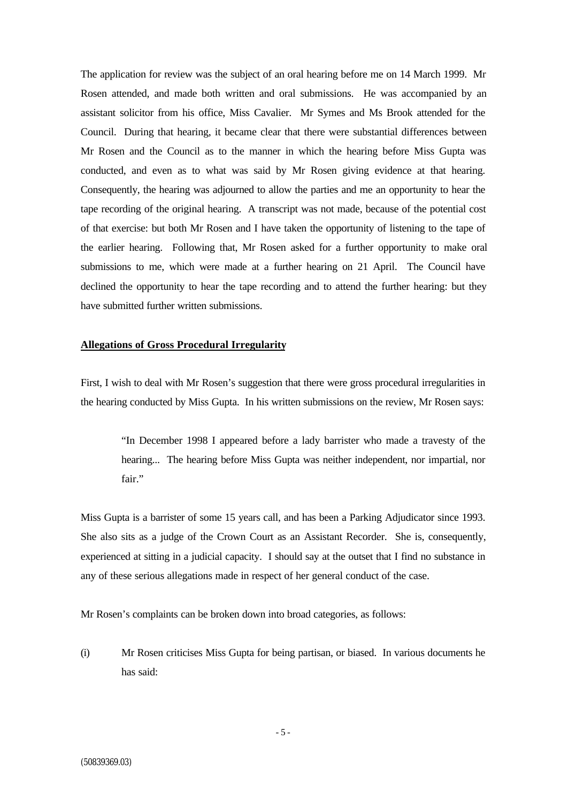The application for review was the subject of an oral hearing before me on 14 March 1999. Mr Rosen attended, and made both written and oral submissions. He was accompanied by an assistant solicitor from his office, Miss Cavalier. Mr Symes and Ms Brook attended for the Council. During that hearing, it became clear that there were substantial differences between Mr Rosen and the Council as to the manner in which the hearing before Miss Gupta was conducted, and even as to what was said by Mr Rosen giving evidence at that hearing. Consequently, the hearing was adjourned to allow the parties and me an opportunity to hear the tape recording of the original hearing. A transcript was not made, because of the potential cost of that exercise: but both Mr Rosen and I have taken the opportunity of listening to the tape of the earlier hearing. Following that, Mr Rosen asked for a further opportunity to make oral submissions to me, which were made at a further hearing on 21 April. The Council have declined the opportunity to hear the tape recording and to attend the further hearing: but they have submitted further written submissions.

### **Allegations of Gross Procedural Irregularity**

First, I wish to deal with Mr Rosen's suggestion that there were gross procedural irregularities in the hearing conducted by Miss Gupta. In his written submissions on the review, Mr Rosen says:

"In December 1998 I appeared before a lady barrister who made a travesty of the hearing... The hearing before Miss Gupta was neither independent, nor impartial, nor fair"

Miss Gupta is a barrister of some 15 years call, and has been a Parking Adjudicator since 1993. She also sits as a judge of the Crown Court as an Assistant Recorder. She is, consequently, experienced at sitting in a judicial capacity. I should say at the outset that I find no substance in any of these serious allegations made in respect of her general conduct of the case.

Mr Rosen's complaints can be broken down into broad categories, as follows:

(i) Mr Rosen criticises Miss Gupta for being partisan, or biased. In various documents he has said: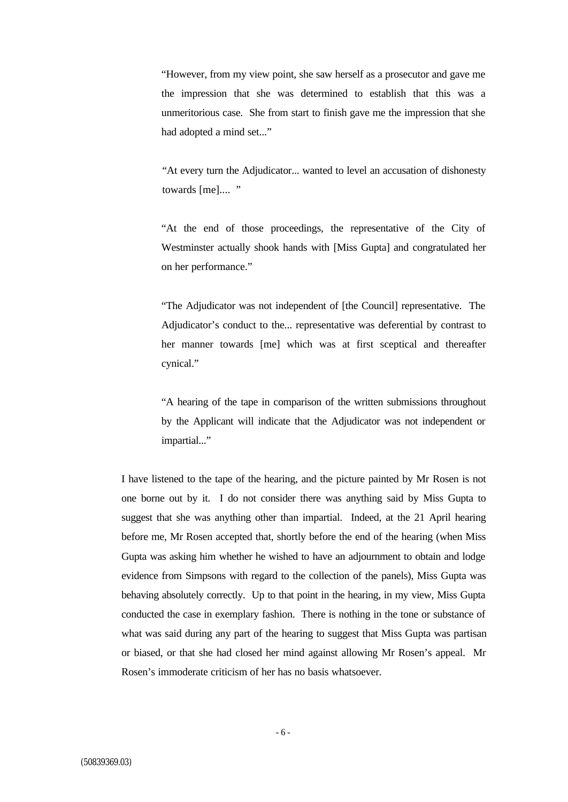"However, from my view point, she saw herself as a prosecutor and gave me the impression that she was determined to establish that this was a unmeritorious case. She from start to finish gave me the impression that she had adopted a mind set..."

"At every turn the Adjudicator... wanted to level an accusation of dishonesty towards [me].... "

"At the end of those proceedings, the representative of the City of Westminster actually shook hands with [Miss Gupta] and congratulated her on her performance."

"The Adjudicator was not independent of [the Council] representative. The Adjudicator's conduct to the... representative was deferential by contrast to her manner towards [me] which was at first sceptical and thereafter cynical."

"A hearing of the tape in comparison of the written submissions throughout by the Applicant will indicate that the Adjudicator was not independent or impartial..."

I have listened to the tape of the hearing, and the picture painted by Mr Rosen is not one borne out by it. I do not consider there was anything said by Miss Gupta to suggest that she was anything other than impartial. Indeed, at the 21 April hearing before me, Mr Rosen accepted that, shortly before the end of the hearing (when Miss Gupta was asking him whether he wished to have an adjournment to obtain and lodge evidence from Simpsons with regard to the collection of the panels), Miss Gupta was behaving absolutely correctly. Up to that point in the hearing, in my view, Miss Gupta conducted the case in exemplary fashion. There is nothing in the tone or substance of what was said during any part of the hearing to suggest that Miss Gupta was partisan or biased, or that she had closed her mind against allowing Mr Rosen's appeal. Mr Rosen's immoderate criticism of her has no basis whatsoever.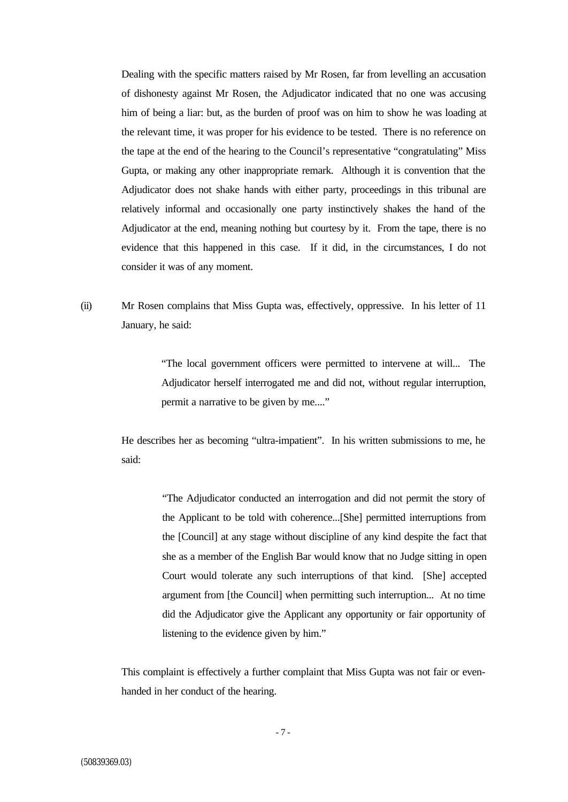Dealing with the specific matters raised by Mr Rosen, far from levelling an accusation of dishonesty against Mr Rosen, the Adjudicator indicated that no one was accusing him of being a liar: but, as the burden of proof was on him to show he was loading at the relevant time, it was proper for his evidence to be tested. There is no reference on the tape at the end of the hearing to the Council's representative "congratulating" Miss Gupta, or making any other inappropriate remark. Although it is convention that the Adjudicator does not shake hands with either party, proceedings in this tribunal are relatively informal and occasionally one party instinctively shakes the hand of the Adjudicator at the end, meaning nothing but courtesy by it. From the tape, there is no evidence that this happened in this case. If it did, in the circumstances, I do not consider it was of any moment.

(ii) Mr Rosen complains that Miss Gupta was, effectively, oppressive. In his letter of 11 January, he said:

> "The local government officers were permitted to intervene at will... The Adjudicator herself interrogated me and did not, without regular interruption, permit a narrative to be given by me...."

He describes her as becoming "ultra-impatient". In his written submissions to me, he said:

> "The Adjudicator conducted an interrogation and did not permit the story of the Applicant to be told with coherence...[She] permitted interruptions from the [Council] at any stage without discipline of any kind despite the fact that she as a member of the English Bar would know that no Judge sitting in open Court would tolerate any such interruptions of that kind. [She] accepted argument from [the Council] when permitting such interruption... At no time did the Adjudicator give the Applicant any opportunity or fair opportunity of listening to the evidence given by him."

This complaint is effectively a further complaint that Miss Gupta was not fair or evenhanded in her conduct of the hearing.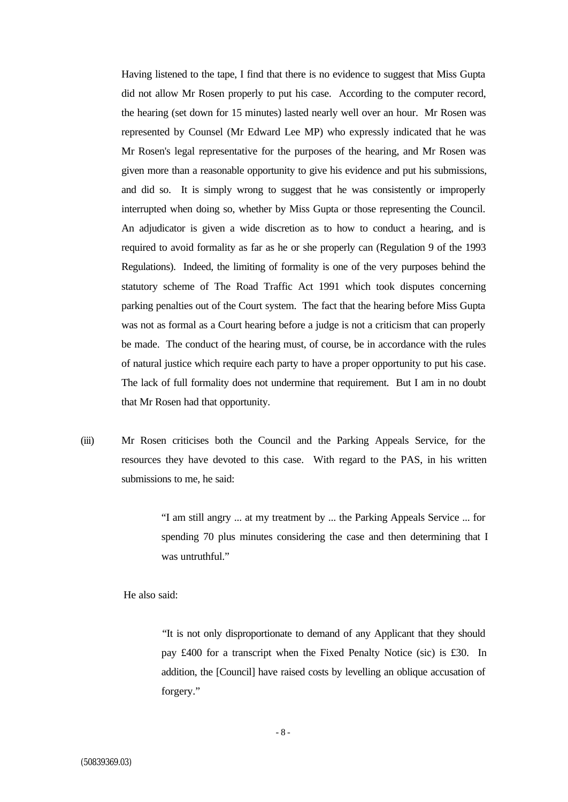Having listened to the tape, I find that there is no evidence to suggest that Miss Gupta did not allow Mr Rosen properly to put his case. According to the computer record, the hearing (set down for 15 minutes) lasted nearly well over an hour. Mr Rosen was represented by Counsel (Mr Edward Lee MP) who expressly indicated that he was Mr Rosen's legal representative for the purposes of the hearing, and Mr Rosen was given more than a reasonable opportunity to give his evidence and put his submissions, and did so. It is simply wrong to suggest that he was consistently or improperly interrupted when doing so, whether by Miss Gupta or those representing the Council. An adjudicator is given a wide discretion as to how to conduct a hearing, and is required to avoid formality as far as he or she properly can (Regulation 9 of the 1993 Regulations). Indeed, the limiting of formality is one of the very purposes behind the statutory scheme of The Road Traffic Act 1991 which took disputes concerning parking penalties out of the Court system. The fact that the hearing before Miss Gupta was not as formal as a Court hearing before a judge is not a criticism that can properly be made. The conduct of the hearing must, of course, be in accordance with the rules of natural justice which require each party to have a proper opportunity to put his case. The lack of full formality does not undermine that requirement. But I am in no doubt that Mr Rosen had that opportunity.

(iii) Mr Rosen criticises both the Council and the Parking Appeals Service, for the resources they have devoted to this case. With regard to the PAS, in his written submissions to me, he said:

> "I am still angry ... at my treatment by ... the Parking Appeals Service ... for spending 70 plus minutes considering the case and then determining that I was untruthful."

He also said:

"It is not only disproportionate to demand of any Applicant that they should pay £400 for a transcript when the Fixed Penalty Notice (sic) is £30. In addition, the [Council] have raised costs by levelling an oblique accusation of forgery."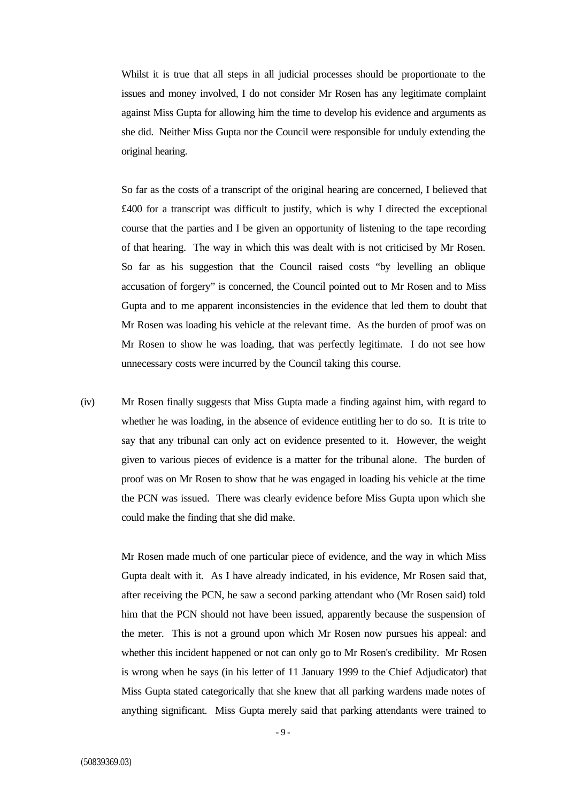Whilst it is true that all steps in all judicial processes should be proportionate to the issues and money involved, I do not consider Mr Rosen has any legitimate complaint against Miss Gupta for allowing him the time to develop his evidence and arguments as she did. Neither Miss Gupta nor the Council were responsible for unduly extending the original hearing.

So far as the costs of a transcript of the original hearing are concerned, I believed that £400 for a transcript was difficult to justify, which is why I directed the exceptional course that the parties and I be given an opportunity of listening to the tape recording of that hearing. The way in which this was dealt with is not criticised by Mr Rosen. So far as his suggestion that the Council raised costs "by levelling an oblique accusation of forgery" is concerned, the Council pointed out to Mr Rosen and to Miss Gupta and to me apparent inconsistencies in the evidence that led them to doubt that Mr Rosen was loading his vehicle at the relevant time. As the burden of proof was on Mr Rosen to show he was loading, that was perfectly legitimate. I do not see how unnecessary costs were incurred by the Council taking this course.

(iv) Mr Rosen finally suggests that Miss Gupta made a finding against him, with regard to whether he was loading, in the absence of evidence entitling her to do so. It is trite to say that any tribunal can only act on evidence presented to it. However, the weight given to various pieces of evidence is a matter for the tribunal alone. The burden of proof was on Mr Rosen to show that he was engaged in loading his vehicle at the time the PCN was issued. There was clearly evidence before Miss Gupta upon which she could make the finding that she did make.

> Mr Rosen made much of one particular piece of evidence, and the way in which Miss Gupta dealt with it. As I have already indicated, in his evidence, Mr Rosen said that, after receiving the PCN, he saw a second parking attendant who (Mr Rosen said) told him that the PCN should not have been issued, apparently because the suspension of the meter. This is not a ground upon which Mr Rosen now pursues his appeal: and whether this incident happened or not can only go to Mr Rosen's credibility. Mr Rosen is wrong when he says (in his letter of 11 January 1999 to the Chief Adjudicator) that Miss Gupta stated categorically that she knew that all parking wardens made notes of anything significant. Miss Gupta merely said that parking attendants were trained to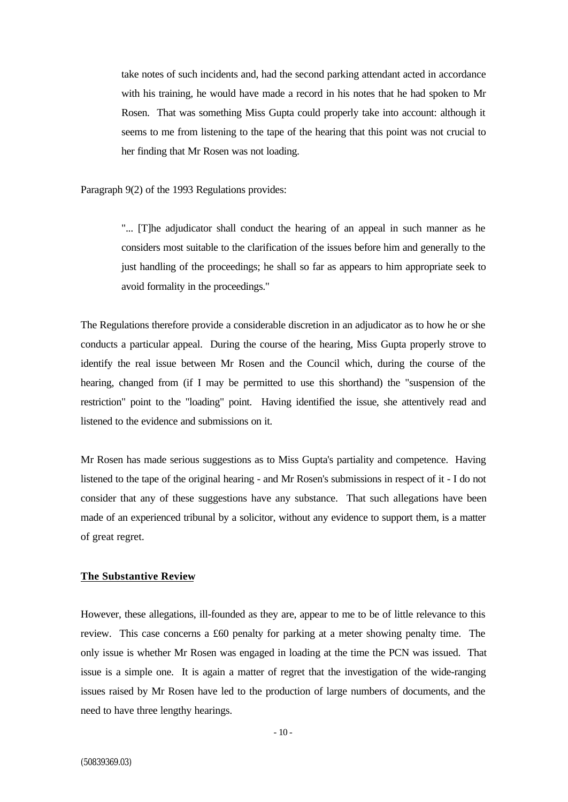take notes of such incidents and, had the second parking attendant acted in accordance with his training, he would have made a record in his notes that he had spoken to Mr Rosen. That was something Miss Gupta could properly take into account: although it seems to me from listening to the tape of the hearing that this point was not crucial to her finding that Mr Rosen was not loading.

Paragraph 9(2) of the 1993 Regulations provides:

"... [T]he adjudicator shall conduct the hearing of an appeal in such manner as he considers most suitable to the clarification of the issues before him and generally to the just handling of the proceedings; he shall so far as appears to him appropriate seek to avoid formality in the proceedings."

The Regulations therefore provide a considerable discretion in an adjudicator as to how he or she conducts a particular appeal. During the course of the hearing, Miss Gupta properly strove to identify the real issue between Mr Rosen and the Council which, during the course of the hearing, changed from (if I may be permitted to use this shorthand) the "suspension of the restriction" point to the "loading" point. Having identified the issue, she attentively read and listened to the evidence and submissions on it.

Mr Rosen has made serious suggestions as to Miss Gupta's partiality and competence. Having listened to the tape of the original hearing - and Mr Rosen's submissions in respect of it - I do not consider that any of these suggestions have any substance. That such allegations have been made of an experienced tribunal by a solicitor, without any evidence to support them, is a matter of great regret.

### **The Substantive Review**

However, these allegations, ill-founded as they are, appear to me to be of little relevance to this review. This case concerns a £60 penalty for parking at a meter showing penalty time. The only issue is whether Mr Rosen was engaged in loading at the time the PCN was issued. That issue is a simple one. It is again a matter of regret that the investigation of the wide-ranging issues raised by Mr Rosen have led to the production of large numbers of documents, and the need to have three lengthy hearings.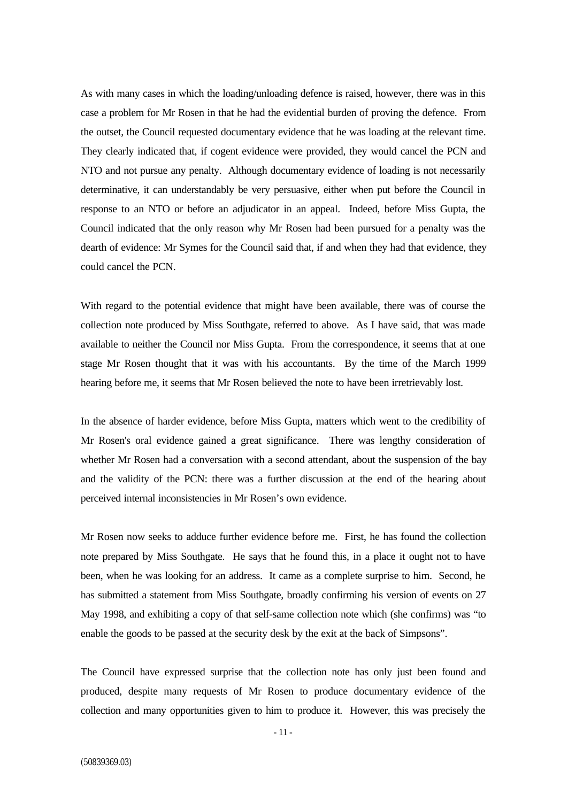As with many cases in which the loading/unloading defence is raised, however, there was in this case a problem for Mr Rosen in that he had the evidential burden of proving the defence. From the outset, the Council requested documentary evidence that he was loading at the relevant time. They clearly indicated that, if cogent evidence were provided, they would cancel the PCN and NTO and not pursue any penalty. Although documentary evidence of loading is not necessarily determinative, it can understandably be very persuasive, either when put before the Council in response to an NTO or before an adjudicator in an appeal. Indeed, before Miss Gupta, the Council indicated that the only reason why Mr Rosen had been pursued for a penalty was the dearth of evidence: Mr Symes for the Council said that, if and when they had that evidence, they could cancel the PCN.

With regard to the potential evidence that might have been available, there was of course the collection note produced by Miss Southgate, referred to above. As I have said, that was made available to neither the Council nor Miss Gupta. From the correspondence, it seems that at one stage Mr Rosen thought that it was with his accountants. By the time of the March 1999 hearing before me, it seems that Mr Rosen believed the note to have been irretrievably lost.

In the absence of harder evidence, before Miss Gupta, matters which went to the credibility of Mr Rosen's oral evidence gained a great significance. There was lengthy consideration of whether Mr Rosen had a conversation with a second attendant, about the suspension of the bay and the validity of the PCN: there was a further discussion at the end of the hearing about perceived internal inconsistencies in Mr Rosen's own evidence.

Mr Rosen now seeks to adduce further evidence before me. First, he has found the collection note prepared by Miss Southgate. He says that he found this, in a place it ought not to have been, when he was looking for an address. It came as a complete surprise to him. Second, he has submitted a statement from Miss Southgate, broadly confirming his version of events on 27 May 1998, and exhibiting a copy of that self-same collection note which (she confirms) was "to enable the goods to be passed at the security desk by the exit at the back of Simpsons".

The Council have expressed surprise that the collection note has only just been found and produced, despite many requests of Mr Rosen to produce documentary evidence of the collection and many opportunities given to him to produce it. However, this was precisely the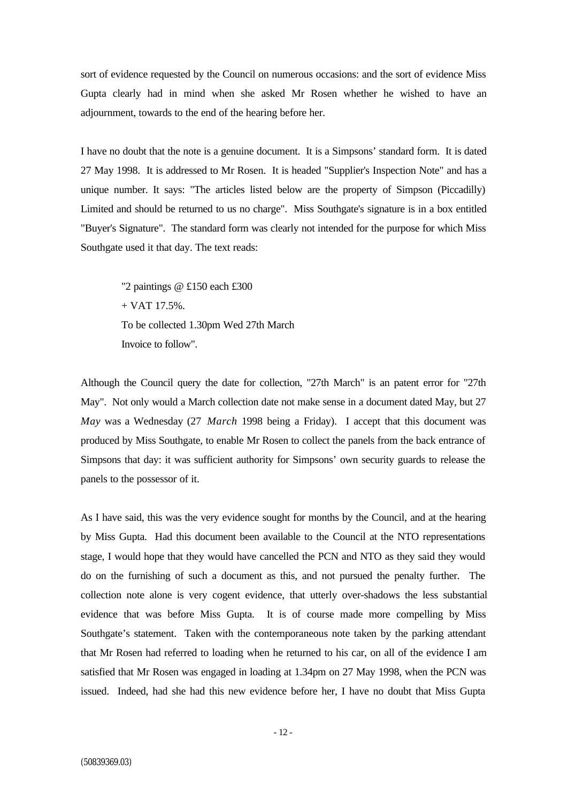sort of evidence requested by the Council on numerous occasions: and the sort of evidence Miss Gupta clearly had in mind when she asked Mr Rosen whether he wished to have an adjournment, towards to the end of the hearing before her.

I have no doubt that the note is a genuine document. It is a Simpsons' standard form. It is dated 27 May 1998. It is addressed to Mr Rosen. It is headed "Supplier's Inspection Note" and has a unique number. It says: "The articles listed below are the property of Simpson (Piccadilly) Limited and should be returned to us no charge". Miss Southgate's signature is in a box entitled "Buyer's Signature". The standard form was clearly not intended for the purpose for which Miss Southgate used it that day. The text reads:

"2 paintings @ £150 each £300 + VAT 17.5%. To be collected 1.30pm Wed 27th March Invoice to follow".

Although the Council query the date for collection, "27th March" is an patent error for "27th May". Not only would a March collection date not make sense in a document dated May, but 27 *May* was a Wednesday (27 *March* 1998 being a Friday). I accept that this document was produced by Miss Southgate, to enable Mr Rosen to collect the panels from the back entrance of Simpsons that day: it was sufficient authority for Simpsons' own security guards to release the panels to the possessor of it.

As I have said, this was the very evidence sought for months by the Council, and at the hearing by Miss Gupta. Had this document been available to the Council at the NTO representations stage, I would hope that they would have cancelled the PCN and NTO as they said they would do on the furnishing of such a document as this, and not pursued the penalty further. The collection note alone is very cogent evidence, that utterly over-shadows the less substantial evidence that was before Miss Gupta. It is of course made more compelling by Miss Southgate's statement. Taken with the contemporaneous note taken by the parking attendant that Mr Rosen had referred to loading when he returned to his car, on all of the evidence I am satisfied that Mr Rosen was engaged in loading at 1.34pm on 27 May 1998, when the PCN was issued. Indeed, had she had this new evidence before her, I have no doubt that Miss Gupta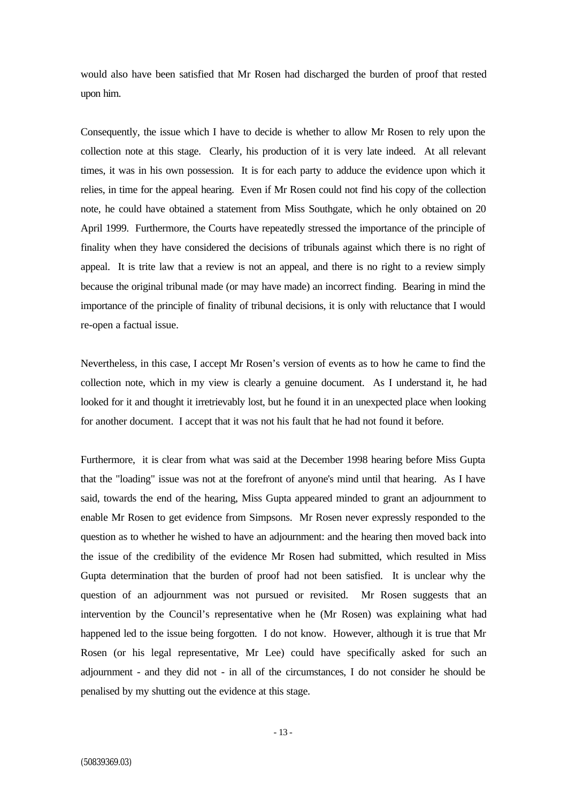would also have been satisfied that Mr Rosen had discharged the burden of proof that rested upon him.

Consequently, the issue which I have to decide is whether to allow Mr Rosen to rely upon the collection note at this stage. Clearly, his production of it is very late indeed. At all relevant times, it was in his own possession. It is for each party to adduce the evidence upon which it relies, in time for the appeal hearing. Even if Mr Rosen could not find his copy of the collection note, he could have obtained a statement from Miss Southgate, which he only obtained on 20 April 1999. Furthermore, the Courts have repeatedly stressed the importance of the principle of finality when they have considered the decisions of tribunals against which there is no right of appeal. It is trite law that a review is not an appeal, and there is no right to a review simply because the original tribunal made (or may have made) an incorrect finding. Bearing in mind the importance of the principle of finality of tribunal decisions, it is only with reluctance that I would re-open a factual issue.

Nevertheless, in this case, I accept Mr Rosen's version of events as to how he came to find the collection note, which in my view is clearly a genuine document. As I understand it, he had looked for it and thought it irretrievably lost, but he found it in an unexpected place when looking for another document. I accept that it was not his fault that he had not found it before.

Furthermore, it is clear from what was said at the December 1998 hearing before Miss Gupta that the "loading" issue was not at the forefront of anyone's mind until that hearing. As I have said, towards the end of the hearing, Miss Gupta appeared minded to grant an adjournment to enable Mr Rosen to get evidence from Simpsons. Mr Rosen never expressly responded to the question as to whether he wished to have an adjournment: and the hearing then moved back into the issue of the credibility of the evidence Mr Rosen had submitted, which resulted in Miss Gupta determination that the burden of proof had not been satisfied. It is unclear why the question of an adjournment was not pursued or revisited. Mr Rosen suggests that an intervention by the Council's representative when he (Mr Rosen) was explaining what had happened led to the issue being forgotten. I do not know. However, although it is true that Mr Rosen (or his legal representative, Mr Lee) could have specifically asked for such an adjournment - and they did not - in all of the circumstances, I do not consider he should be penalised by my shutting out the evidence at this stage.